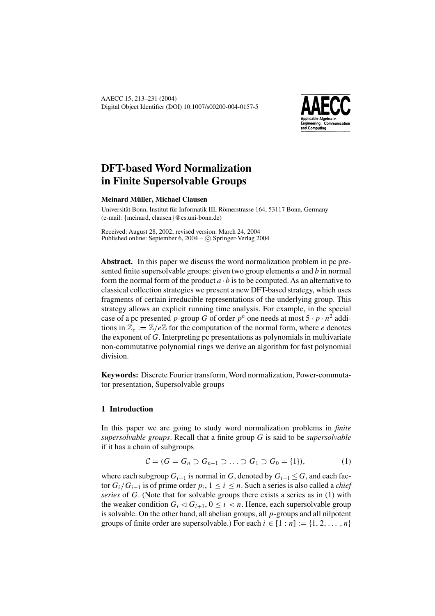

# **DFT-based Word Normalization in Finite Supersolvable Groups**

# **Meinard M¨uller, Michael Clausen**

Universität Bonn, Institut für Informatik III, Römerstrasse 164, 53117 Bonn, Germany (e-mail: {meinard, clausen}@cs.uni-bonn.de)

Received: August 28, 2002; revised version: March 24, 2004 Published online: September 6, 2004 –  $\odot$  Springer-Verlag 2004

**Abstract.** In this paper we discuss the word normalization problem in pc presented finite supersolvable groups: given two group elements  $a$  and  $b$  in normal form the normal form of the product  $a \cdot b$  is to be computed. As an alternative to classical collection strategies we present a new DFT-based strategy, which uses fragments of certain irreducible representations of the underlying group. This strategy allows an explicit running time analysis. For example, in the special case of a pc presented p-group G of order  $p^n$  one needs at most  $5 \cdot p \cdot n^2$  additions in  $\mathbb{Z}_{e} := \mathbb{Z}/e\mathbb{Z}$  for the computation of the normal form, where e denotes the exponent of G. Interpreting pc presentations as polynomials in multivariate non-commutative polynomial rings we derive an algorithm for fast polynomial division.

**Keywords:** Discrete Fourier transform, Word normalization, Power-commutator presentation, Supersolvable groups

# **1 Introduction**

In this paper we are going to study word normalization problems in *finite supersolvable groups*. Recall that a finite group G is said to be *supersolvable* if it has a chain of subgroups

$$
C = (G = G_n \supset G_{n-1} \supset \ldots \supset G_1 \supset G_0 = \{1\}),
$$
 (1)

where each subgroup  $G_{i-1}$  is normal in G, denoted by  $G_{i-1} \leq G$ , and each factor  $G_i/G_{i-1}$  is of prime order  $p_i, 1 \le i \le n$ . Such a series is also called a *chief series* of G. (Note that for solvable groups there exists a series as in (1) with the weaker condition  $G_i \triangleleft G_{i+1}$ ,  $0 \leq i \leq n$ . Hence, each supersolvable group is solvable. On the other hand, all abelian groups, all  $p$ -groups and all nilpotent groups of finite order are supersolvable.) For each  $i \in [1:n] := \{1, 2, \ldots, n\}$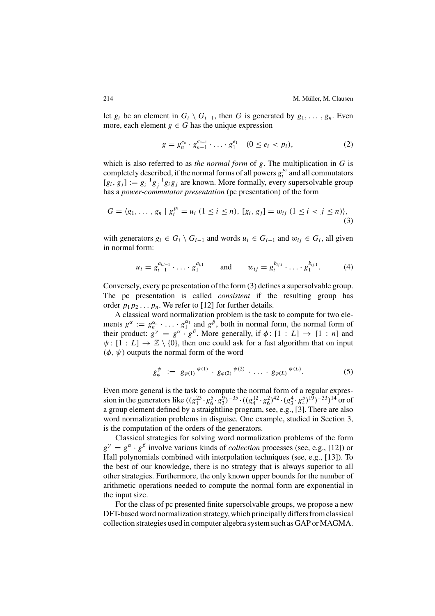let  $g_i$  be an element in  $G_i \setminus G_{i-1}$ , then G is generated by  $g_1, \ldots, g_n$ . Even more, each element  $g \in G$  has the unique expression

$$
g = g_n^{e_n} \cdot g_{n-1}^{e_{n-1}} \cdot \ldots \cdot g_1^{e_1} \quad (0 \le e_i < p_i), \tag{2}
$$

which is also referred to as *the normal form* of g. The multiplication in G is completely described, if the normal forms of all powers  $g_i^{p_i}$  and all commutators  $[g_i, g_j] := g_i^{-1} g_j^{-1} g_i g_j$  are known. More formally, every supersolvable group has a *power-commutator presentation* (pc presentation) of the form

$$
G = \langle g_1, \dots, g_n \mid g_i^{p_i} = u_i \ (1 \le i \le n), [g_i, g_j] = w_{ij} \ (1 \le i < j \le n) \rangle, \tag{3}
$$

with generators  $g_i \in G_i \setminus G_{i-1}$  and words  $u_i \in G_{i-1}$  and  $w_{ij} \in G_i$ , all given in normal form:

$$
u_i = g_{i-1}^{a_{i,i-1}} \cdot \ldots \cdot g_1^{a_{i,1}}
$$
 and  $w_{ij} = g_i^{b_{ij,i}} \cdot \ldots \cdot g_1^{b_{ij,1}}$ . (4)

Conversely, every pc presentation of the form (3) defines a supersolvable group. The pc presentation is called *consistent* if the resulting group has order  $p_1p_2 \ldots p_n$ . We refer to [12] for further details.

A classical word normalization problem is the task to compute for two elements  $g^{\alpha} := g_n^{\alpha_n} \cdot \ldots \cdot g_1^{\alpha_1}$  and  $g^{\beta}$ , both in normal form, the normal form of their product:  $g^{\gamma} = g^{\alpha} \cdot g^{\beta}$ . More generally, if  $\phi$ :  $[1 : L] \rightarrow [1 : n]$  and  $\psi : [1 : L] \rightarrow \mathbb{Z} \setminus \{0\}$ , then one could ask for a fast algorithm that on input  $(\phi, \psi)$  outputs the normal form of the word

$$
g_{\varphi}^{\psi} := g_{\varphi(1)}^{\psi(1)} \cdot g_{\varphi(2)}^{\psi(2)} \cdot \ldots \cdot g_{\varphi(L)}^{\psi(L)}.
$$
 (5)

Even more general is the task to compute the normal form of a regular expression in the generators like  $((g_1^{23} \cdot g_6^5 \cdot g_3^9)^{-35} \cdot ((g_4^{12} \cdot g_6^2)^{42} \cdot (g_3^4 \cdot g_4^5)^{19})^{-33})^{14}$  or of a group element defined by a straightline program, see, e.g., [3]. There are also word normalization problems in disguise. One example, studied in Section 3, is the computation of the orders of the generators.

Classical strategies for solving word normalization problems of the form  $g^{\gamma} = g^{\alpha} \cdot g^{\beta}$  involve various kinds of *collection* processes (see, e.g., [12]) or Hall polynomials combined with interpolation techniques (see, e.g., [13]). To the best of our knowledge, there is no strategy that is always superior to all other strategies. Furthermore, the only known upper bounds for the number of arithmetic operations needed to compute the normal form are exponential in the input size.

For the class of pc presented finite supersolvable groups, we propose a new DFT-based word normalization strategy, which principally differs from classical collection strategies used in computer algebra system such as GAP or MAGMA.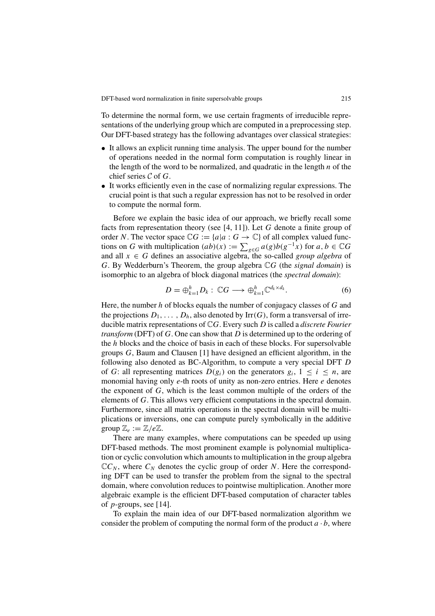To determine the normal form, we use certain fragments of irreducible representations of the underlying group which are computed in a preprocessing step. Our DFT-based strategy has the following advantages over classical strategies:

- It allows an explicit running time analysis. The upper bound for the number of operations needed in the normal form computation is roughly linear in the length of the word to be normalized, and quadratic in the length  $n$  of the chief series  $C$  of  $G$ .
- It works efficiently even in the case of normalizing regular expressions. The crucial point is that such a regular expression has not to be resolved in order to compute the normal form.

Before we explain the basic idea of our approach, we briefly recall some facts from representation theory (see [4, 11]). Let G denote a finite group of order N. The vector space  $\mathbb{C}G := \{a | a : G \to \mathbb{C}\}$  of all complex valued functions on G with multiplication  $(ab)(x) := \sum_{g \in G} a(g)b(g^{-1}x)$  for  $a, b \in \mathbb{C}G$ and all  $x \in G$  defines an associative algebra, the so-called *group algebra* of G. By Wedderburn's Theorem, the group algebra CG (the *signal domain*) is isomorphic to an algebra of block diagonal matrices (the *spectral domain*):

$$
D = \bigoplus_{k=1}^{h} D_k : \mathbb{C}G \longrightarrow \bigoplus_{k=1}^{h} \mathbb{C}^{d_k \times d_k}.
$$
 (6)

Here, the number  $h$  of blocks equals the number of conjugacy classes of  $G$  and the projections  $D_1, \ldots, D_h$ , also denoted by Irr(G), form a transversal of irreducible matrix representations of CG. Every such D is called a *discrete Fourier transform* (DFT) of G. One can show that D is determined up to the ordering of the h blocks and the choice of basis in each of these blocks. For supersolvable groups G, Baum and Clausen [1] have designed an efficient algorithm, in the following also denoted as BC-Algorithm, to compute a very special DFT D of G: all representing matrices  $D(g_i)$  on the generators  $g_i$ ,  $1 \le i \le n$ , are monomial having only e-th roots of unity as non-zero entries. Here e denotes the exponent of G, which is the least common multiple of the orders of the elements of G. This allows very efficient computations in the spectral domain. Furthermore, since all matrix operations in the spectral domain will be multiplications or inversions, one can compute purely symbolically in the additive group  $\mathbb{Z}_e := \mathbb{Z}/e\mathbb{Z}$ .

There are many examples, where computations can be speeded up using DFT-based methods. The most prominent example is polynomial multiplication or cyclic convolution which amounts to multiplication in the group algebra  $\mathbb{C}C_N$ , where  $C_N$  denotes the cyclic group of order N. Here the corresponding DFT can be used to transfer the problem from the signal to the spectral domain, where convolution reduces to pointwise multiplication. Another more algebraic example is the efficient DFT-based computation of character tables of  $p$ -groups, see [14].

To explain the main idea of our DFT-based normalization algorithm we consider the problem of computing the normal form of the product  $a \cdot b$ , where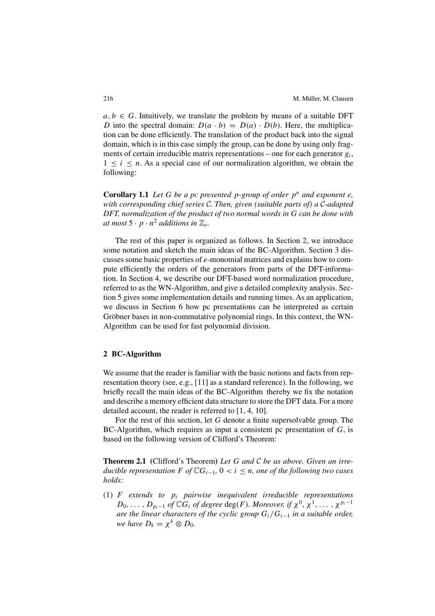$a, b \in G$ . Intuitively, we translate the problem by means of a suitable DFT D into the spectral domain:  $D(a \cdot b) = D(a) \cdot D(b)$ . Here, the multiplication can be done efficiently. The translation of the product back into the signal domain, which is in this case simply the group, can be done by using only fragments of certain irreducible matrix representations – one for each generator  $g_i$ ,  $1 \leq i \leq n$ . As a special case of our normalization algorithm, we obtain the following:

**Corollary 1.1** *Let*  $G$  *be a pc presented p-group of order*  $p^n$  *and exponent e, with corresponding chief series* C*. Then, given (suitable parts of) a* C*-adapted DFT, normalization of the product of two normal words in* G *can be done with at most*  $5 \cdot p \cdot n^2$  *additions in*  $\mathbb{Z}_e$ *.* 

The rest of this paper is organized as follows. In Section 2, we introduce some notation and sketch the main ideas of the BC-Algorithm. Section 3 discusses some basic properties of e-monomial matrices and explains how to compute efficiently the orders of the generators from parts of the DFT-information. In Section 4, we describe our DFT-based word normalization procedure, referred to as the WN-Algorithm, and give a detailed complexity analysis. Section 5 gives some implementation details and running times. As an application, we discuss in Section 6 how pc presentations can be interpreted as certain Gröbner bases in non-commutative polynomial rings. In this context, the WN-Algorithm can be used for fast polynomial division.

## **2 BC-Algorithm**

We assume that the reader is familiar with the basic notions and facts from representation theory (see, e.g., [11] as a standard reference). In the following, we briefly recall the main ideas of the BC-Algorithm thereby we fix the notation and describe a memory efficient data structure to store the DFT data. For a more detailed account, the reader is referred to [1, 4, 10].

For the rest of this section, let  $G$  denote a finite supersolvable group. The BC-Algorithm, which requires as input a consistent pc presentation of G, is based on the following version of Clifford's Theorem:

**Theorem 2.1 (**Clifford's Theorem**)** *Let* G *and* C *be as above. Given an irreducible representation*  $F$  *of*  $\mathbb{C}G_{i-1}$ ,  $0 < i \leq n$ , *one of the following two cases holds:*

(1) F *extends to* pi *pairwise inequivalent irreducible representations*  $D_0, \ldots, D_{n-1}$  *of*  $\mathbb{C}G_i$  *of degree* deg(*F*)*. Moreover, if*  $\chi^0, \chi^1, \ldots, \chi^{p_i-1}$ *are the linear characters of the cyclic group* Gi/Gi<sup>−</sup><sup>1</sup> *in a suitable order, we have*  $D_k = \chi^k \otimes D_0$ *.*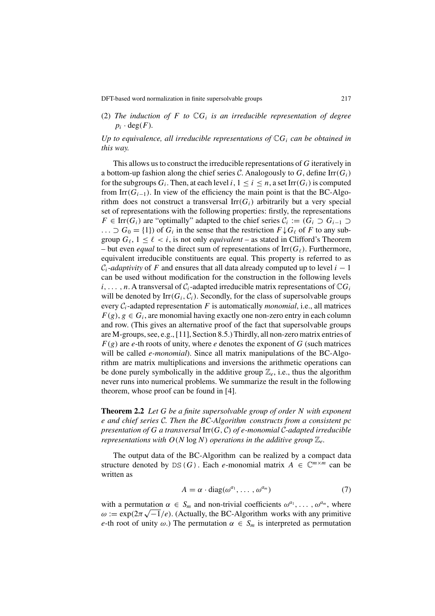(2) The induction of F to  $\mathbb{C}G_i$  is an irreducible representation of degree  $p_i \cdot \deg(F)$ .

*Up to equivalence, all irreducible representations of*  $\mathbb{C}G_i$  *can be obtained in this way.*

This allows us to construct the irreducible representations of G iteratively in a bottom-up fashion along the chief series C. Analogously to G, define  $\text{Irr}(G_i)$ for the subgroups  $G_i$ . Then, at each level  $i, 1 \le i \le n$ , a set Irr( $G_i$ ) is computed from Irr( $G_{i-1}$ ). In view of the efficiency the main point is that the BC-Algorithm does not construct a transversal  $\text{Irr}(G_i)$  arbitrarily but a very special set of representations with the following properties: firstly, the representations  $F \in \text{Irr}(G_i)$  are "optimally" adapted to the chief series  $C_i := (G_i \supset G_{i-1} \supset$  $\ldots \supset G_0 = \{1\}$  of  $G_i$  in the sense that the restriction  $F \downarrow G_\ell$  of F to any subgroup  $G_{\ell}$ ,  $1 \leq \ell < i$ , is not only *equivalent* – as stated in Clifford's Theorem – but even *equal* to the direct sum of representations of  $\text{Irr}(G_\ell)$ . Furthermore, equivalent irreducible constituents are equal. This property is referred to as  $C_i$ -*adaptivity* of F and ensures that all data already computed up to level  $i - 1$ can be used without modification for the construction in the following levels  $i, \ldots, n$ . A transversal of  $C_i$ -adapted irreducible matrix representations of  $\mathbb{C}G_i$ will be denoted by  $\text{Irr}(G_i, C_i)$ . Secondly, for the class of supersolvable groups every  $C_i$ -adapted representation F is automatically *monomial*, i.e., all matrices  $F(g)$ ,  $g \in G_i$ , are monomial having exactly one non-zero entry in each column and row. (This gives an alternative proof of the fact that supersolvable groups are M-groups, see, e.g., [11], Section 8.5.) Thirdly, all non-zero matrix entries of  $F(g)$  are e-th roots of unity, where e denotes the exponent of G (such matrices will be called e*-monomial*). Since all matrix manipulations of the BC-Algorithm are matrix multiplications and inversions the arithmetic operations can be done purely symbolically in the additive group  $\mathbb{Z}_e$ , i.e., thus the algorithm never runs into numerical problems. We summarize the result in the following theorem, whose proof can be found in [4].

**Theorem 2.2** *Let* G *be a finite supersolvable group of order* N *with exponent* e *and chief series* C*. Then the BC-Algorithm constructs from a consistent pc presentation of* G *a transversal* Irr(G, C) *of* e*-monomial* C*-adapted irreducible representations with*  $O(N \log N)$  *operations in the additive group*  $\mathbb{Z}_e$ *.* 

The output data of the BC-Algorithm can be realized by a compact data structure denoted by DS(G). Each e-monomial matrix  $A \in \mathbb{C}^{m \times m}$  can be written as

$$
A = \alpha \cdot \text{diag}(\omega^{a_1}, \dots, \omega^{a_m})
$$
 (7)

with a permutation  $\alpha \in S_m$  and non-trivial coefficients  $\omega^{a_1}, \ldots, \omega^{a_m}$ , where with a permutation  $\alpha \in S_m$  and non-trivial coefficients  $\omega^{N_1}, \dots, \omega^{N_m}$ , where  $\omega := \exp(2\pi \sqrt{-1}/e)$ . (Actually, the BC-Algorithm works with any primitive e-th root of unity  $\omega$ .) The permutation  $\alpha \in S_m$  is interpreted as permutation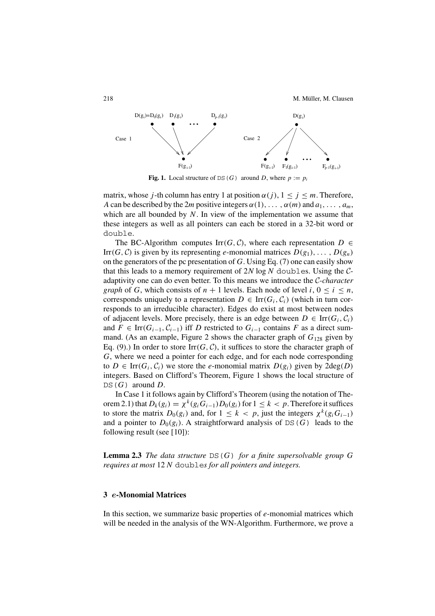

**Fig. 1.** Local structure of DS(G) around D, where  $p := p_i$ 

matrix, whose j-th column has entry 1 at position  $\alpha(j)$ ,  $1 \leq j \leq m$ . Therefore, A can be described by the 2m positive integers  $\alpha(1), \ldots, \alpha(m)$  and  $a_1, \ldots, a_m$ , which are all bounded by  $N$ . In view of the implementation we assume that these integers as well as all pointers can each be stored in a 32-bit word or double.

The BC-Algorithm computes Irr(G, C), where each representation  $D \in$ Irr(G, C) is given by its representing e-monomial matrices  $D(g_1), \ldots, D(g_n)$ on the generators of the pc presentation of  $G$ . Using Eq. (7) one can easily show that this leads to a memory requirement of  $2N \log N$  doubles. Using the  $C$ adaptivity one can do even better. To this means we introduce the C*-character graph* of G, which consists of  $n + 1$  levels. Each node of level  $i, 0 \le i \le n$ , corresponds uniquely to a representation  $D \in \text{Irr}(G_i, C_i)$  (which in turn corresponds to an irreducible character). Edges do exist at most between nodes of adjacent levels. More precisely, there is an edge between  $D \in \text{Irr}(G_i, C_i)$ and  $F \in \text{Irr}(G_{i-1}, C_{i-1})$  iff D restricted to  $G_{i-1}$  contains F as a direct summand. (As an example, Figure 2 shows the character graph of  $G_{128}$  given by Eq. (9).) In order to store  $\text{Irr}(G, \mathcal{C})$ , it suffices to store the character graph of G, where we need a pointer for each edge, and for each node corresponding to  $D \in \text{Irr}(G_i, C_i)$  we store the *e*-monomial matrix  $D(g_i)$  given by  $2deg(D)$ integers. Based on Clifford's Theorem, Figure 1 shows the local structure of  $DS(G)$  around D.

In Case 1 it follows again by Clifford's Theorem (using the notation of Theorem 2.1) that  $D_k(g_i) = \chi^k(g_i G_{i-1}) D_0(g_i)$  for  $1 \leq k < p$ . Therefore it suffices to store the matrix  $D_0(g_i)$  and, for  $1 \leq k < p$ , just the integers  $\chi^k(g_iG_{i-1})$ and a pointer to  $D_0(g_i)$ . A straightforward analysis of DS(G) leads to the following result (see [10]):

**Lemma 2.3** *The data structure* DS(G) *for a finite supersolvable group* G *requires at most* 12 N double*s for all pointers and integers.*

## **3** *e***-Monomial Matrices**

In this section, we summarize basic properties of  $e$ -monomial matrices which will be needed in the analysis of the WN-Algorithm. Furthermore, we prove a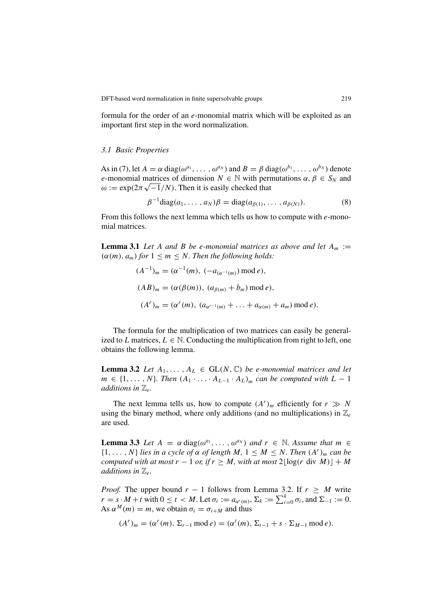formula for the order of an e-monomial matrix which will be exploited as an important first step in the word normalization.

#### *3.1 Basic Properties*

As in (7), let  $A = \alpha \text{ diag}(\omega^{a_1}, \dots, \omega^{a_N})$  and  $B = \beta \text{ diag}(\omega^{b_1}, \dots, \omega^{b_N})$  denote e-monomial matrices of dimension  $N \in \mathbb{N}$  with permutations  $\alpha, \beta \in S_N$  and e-monomial matrices of dimension  $N \in \mathbb{N}$  with perform  $\omega := \exp(2\pi \sqrt{-1}/N)$ . Then it is easily checked that

$$
\beta^{-1} \text{diag}(a_1, \dots, a_N)\beta = \text{diag}(a_{\beta(1)}, \dots, a_{\beta(N)}).
$$
 (8)

From this follows the next lemma which tells us how to compute with  $e$ -monomial matrices.

**Lemma 3.1** *Let* A *and* B *be e-monomial matrices as above and let*  $A_m :=$  $(\alpha(m), a_m)$  *for*  $1 \leq m \leq N$ *. Then the following holds:* 

$$
(A^{-1})_m = (\alpha^{-1}(m), (-a_{(\alpha^{-1}(m)}) \mod e),
$$
  
\n
$$
(AB)_m = (\alpha(\beta(m)), (a_{\beta(m)} + b_m) \mod e),
$$
  
\n
$$
(A^r)_m = (\alpha^r(m), (a_{\alpha^{r-1}(m)} + \ldots + a_{\alpha(m)} + a_m) \mod e).
$$

The formula for the multiplication of two matrices can easily be generalized to L matrices,  $L \in \mathbb{N}$ . Conducting the multiplication from right to left, one obtains the following lemma.

**Lemma 3.2** *Let*  $A_1, \ldots, A_L \in GL(N, \mathbb{C})$  *be e-monomial matrices and let*  $m \in \{1, \ldots, N\}$ . Then  $(A_1 \cdot \ldots \cdot A_{L-1} \cdot A_L)$ <sub>m</sub> can be computed with  $L - 1$ *additions in*  $\mathbb{Z}_e$ *.* 

The next lemma tells us, how to compute  $(A<sup>r</sup>)<sub>m</sub>$  efficiently for  $r \gg N$ using the binary method, where only additions (and no multiplications) in  $\mathbb{Z}_e$ are used.

**Lemma 3.3** *Let*  $A = \alpha \text{ diag}(\omega^{a_1}, \dots, \omega^{a_N})$  *and*  $r \in \mathbb{N}$ *. Assume that*  $m \in \mathbb{N}$  $\{1,\ldots,N\}$  *lies in a cycle of*  $\alpha$  *of length*  $M, 1 \leq M \leq N$ . Then  $(A^r)_m$  *can be computed with at most*  $r - 1$  *or, if*  $r \geq M$ *, with at most*  $2\lfloor \log(r \text{ div } M) \rfloor + M$ *additions in*  $\mathbb{Z}_e$ *.* 

*Proof.* The upper bound  $r - 1$  follows from Lemma 3.2. If  $r \geq M$  write  $r = s \cdot M + t$  with  $0 \le t < M$ . Let  $\sigma_i := a_{\alpha^i(m)}, \Sigma_k := \sum_{i=0}^k \sigma_i$ , and  $\Sigma_{-1} := 0$ . As  $\alpha^M(m) = m$ , we obtain  $\sigma_i = \sigma_{i+M}$  and thus

$$
(Ar)m = (\alphar(m), \Sigmar-1 \text{ mod } e) = (\alphat(m), \Sigmat-1 + s \cdot \SigmaM-1 \text{ mod } e).
$$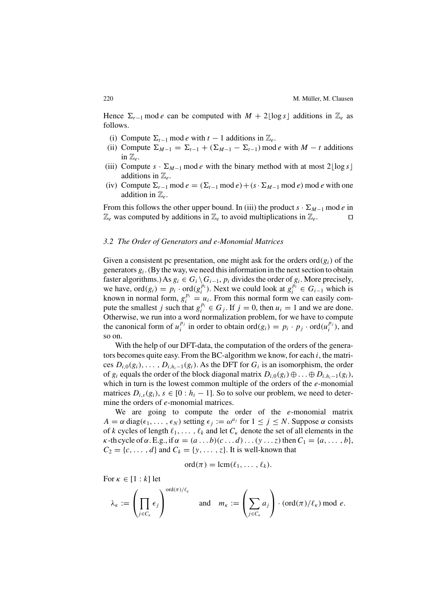Hence  $\Sigma_{r-1}$  mod e can be computed with  $M + 2\lfloor \log s \rfloor$  additions in  $\mathbb{Z}_e$  as follows.

- (i) Compute  $\Sigma_{t-1}$  mod e with  $t-1$  additions in  $\mathbb{Z}_e$ .
- (ii) Compute  $\Sigma_{M-1} = \Sigma_{t-1} + (\Sigma_{M-1} \Sigma_{t-1}) \mod e$  with  $M t$  additions in  $\mathbb{Z}_e$ .
- (iii) Compute  $s \cdot \Sigma_{M-1}$  mod e with the binary method with at most 2[log s] additions in  $\mathbb{Z}_e$ .
- (iv) Compute  $\Sigma_{r-1}$  mod  $e = (\Sigma_{t-1} \mod e) + (s \cdot \Sigma_{M-1} \mod e)$  mod e with one addition in  $\mathbb{Z}_e$ .

From this follows the other upper bound. In (iii) the product  $s \cdot \Sigma_{M-1}$  mod e in  $\mathbb{Z}_e$  was computed by additions in  $\mathbb{Z}_e$  to avoid multiplications in  $\mathbb{Z}_e$ .

#### *3.2 The Order of Generators and* e*-Monomial Matrices*

Given a consistent pc presentation, one might ask for the orders  $\text{ord}(g_i)$  of the generators  $g_i$ . (By the way, we need this information in the next section to obtain faster algorithms.) As  $g_i \in G_i \backslash G_{i-1}$ ,  $p_i$  divides the order of  $g_i$ . More precisely, we have, ord $(g_i) = p_i \cdot \text{ord}(g_i^{p_i})$ . Next we could look at  $g_i^{p_i} \in G_{i-1}$  which is known in normal form,  $g_i^{p_i} = u_i$ . From this normal form we can easily compute the smallest j such that  $g_i^{p_i} \in G_j$ . If  $j = 0$ , then  $u_i = 1$  and we are done. Otherwise, we run into a word normalization problem, for we have to compute the canonical form of  $u_i^{p_j}$  in order to obtain  $\text{ord}(g_i) = p_i \cdot p_j \cdot \text{ord}(u_i^{p_j})$ , and so on.

With the help of our DFT-data, the computation of the orders of the generators becomes quite easy. From the BC-algorithm we know, for each  $i$ , the matrices  $D_{i,0}(g_i), \ldots, D_{i,h_i-1}(g_i)$ . As the DFT for  $G_i$  is an isomorphism, the order of  $g_i$  equals the order of the block diagonal matrix  $D_{i,0}(g_i) \oplus \ldots \oplus D_{i,h_i-1}(g_i)$ , which in turn is the lowest common multiple of the orders of the  $e$ -monomial matrices  $D_{i,s}(g_i)$ ,  $s \in [0 : h_i - 1]$ . So to solve our problem, we need to determine the orders of *e*-monomial matrices.

We are going to compute the order of the  $e$ -monomial matrix  $A = \alpha \text{ diag}(\epsilon_1, \dots, \epsilon_N)$  setting  $\epsilon_i := \omega^{a_i}$  for  $1 \leq j \leq N$ . Suppose  $\alpha$  consists of k cycles of length  $\ell_1, \ldots, \ell_k$  and let  $C_k$  denote the set of all elements in the  $\kappa$ -th cycle of  $\alpha$ . E.g., if  $\alpha = (a \dots b)(c \dots d) \dots (y \dots z)$  then  $C_1 = \{a, \dots, b\}$ ,  $C_2 = \{c, \ldots, d\}$  and  $C_k = \{y, \ldots, z\}$ . It is well-known that

$$
\mathrm{ord}(\pi)=\mathrm{lcm}(\ell_1,\ldots,\ell_k).
$$

For  $\kappa \in [1 : k]$  let

$$
\lambda_{\kappa} := \left(\prod_{j \in C_{\kappa}} \epsilon_j\right)^{\text{ord}(\pi)/\ell_{\kappa}} \quad \text{and} \quad m_{\kappa} := \left(\sum_{j \in C_{\kappa}} a_j\right) \cdot (\text{ord}(\pi)/\ell_{\kappa}) \text{ mod } e.
$$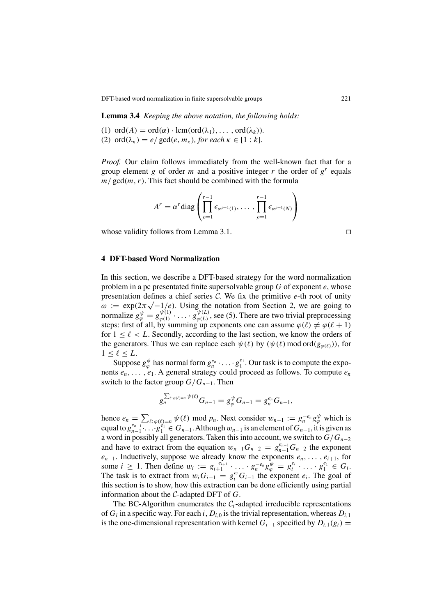**Lemma 3.4** *Keeping the above notation, the following holds:*

(1) ord(A) = ord( $\alpha$ ) · lcm(ord( $\lambda_1$ ), ..., ord( $\lambda_k$ )). (2) ord( $\lambda_{\kappa}$ ) = e/ gcd(e,  $m_{\kappa}$ ), for each  $\kappa \in [1:k]$ .

*Proof.* Our claim follows immediately from the well-known fact that for a group element g of order m and a positive integer r the order of  $g<sup>r</sup>$  equals  $m / \text{gcd}(m, r)$ . This fact should be combined with the formula

$$
A^{r} = \alpha^{r} \operatorname{diag} \left( \prod_{\rho=1}^{r-1} \epsilon_{\alpha^{\rho-1}(1)}, \ldots, \prod_{\rho=1}^{r-1} \epsilon_{\alpha^{\rho-1}(N)} \right)
$$

whose validity follows from Lemma 3.1.  $\square$ 

#### **4 DFT-based Word Normalization**

In this section, we describe a DFT-based strategy for the word normalization problem in a pc presentated finite supersolvable group  $G$  of exponent  $e$ , whose presentation defines a chief series  $C$ . We fix the primitive e-th root of unity presentation defines a chief series c. we fix the primitive e-th root of unity  $\omega := \exp(2\pi\sqrt{-1}/e)$ . Using the notation from Section 2, we are going to normalize  $g_{\varphi}^{\psi} = g_{\varphi(1)}^{\psi(1)} \cdot \ldots \cdot g_{\varphi(L)}^{\psi(L)}$ , see (5). There are two trivial preprocessing steps: first of all, by summing up exponents one can assume  $\varphi(\ell) \neq \varphi(\ell + 1)$ for  $1 \leq \ell < L$ . Secondly, according to the last section, we know the orders of the generators. Thus we can replace each  $\psi(\ell)$  by  $(\psi(\ell) \mod ord(g_{\varphi(\ell)}))$ , for  $1 \leq \ell \leq L$ .

Suppose  $g_{\varphi}^{\psi}$  has normal form  $g_n^{e_n} \cdot \ldots \cdot g_1^{e_1}$ . Our task is to compute the exponents  $e_n, \ldots, e_1$ . A general strategy could proceed as follows. To compute  $e_n$ switch to the factor group  $G/G_{n-1}$ . Then

$$
g_n^{\sum_{\ell:\,\varphi(\ell)=n}\psi(\ell)}G_{n-1}=g_{\varphi}^{\psi}G_{n-1}=g_n^{e_n}G_{n-1},
$$

hence  $e_n = \sum_{\ell: \varphi(\ell) = n} \psi(\ell) \mod p_n$ . Next consider  $w_{n-1} := g_n^{-e_n} g_{\varphi}^{\psi}$  which is equal to  $g_{n-1}^{e_{n-1}}\cdots g_1^{e_1} \in G_{n-1}$ . Although  $w_{n-1}$  is an element of  $G_{n-1}$ , it is given as a word in possibly all generators. Taken this into account, we switch to  $G/G_{n-2}$ and have to extract from the equation  $w_{n-1}G_{n-2} = g_{n-1}^{e_{n-1}}G_{n-2}$  the exponent  $e_{n-1}$ . Inductively, suppose we already know the exponents  $e_n, \ldots, e_{i+1}$ , for some *i* ≥ 1. Then define  $w_i := g_{i+1}^{-e_{i+1}} \cdot \ldots \cdot g_n^{-e_n} g_{\varphi}^{\psi} = g_i^{e_i} \cdot \ldots \cdot g_1^{e_1} \in G_i$ . The task is to extract from  $w_i G_{i-1} = g_i^{e_i} G_{i-1}$  the exponent  $e_i$ . The goal of this section is to show, how this extraction can be done efficiently using partial information about the C-adapted DFT of G.

The BC-Algorithm enumerates the  $C_i$ -adapted irreducible representations of  $G_i$  in a specific way. For each i,  $D_{i,0}$  is the trivial representation, whereas  $D_{i,1}$ is the one-dimensional representation with kernel  $G_{i-1}$  specified by  $D_{i,1}(g_i)$  =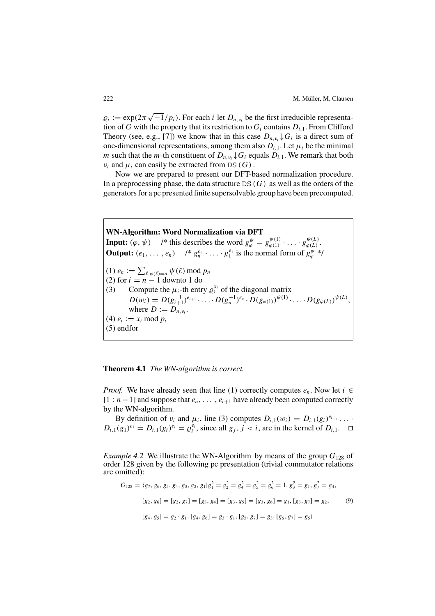$\varrho_i := \exp(2\pi \sqrt{-1}/p_i)$ . For each *i* let  $D_{n,\nu_i}$  be the first irreducible representation of G with the property that its restriction to  $G_i$  contains  $D_{i,1}$ . From Clifford Theory (see, e.g., [7]) we know that in this case  $D_{n,\nu}$ ,  $\downarrow G_i$  is a direct sum of one-dimensional representations, among them also  $D_{i,1}$ . Let  $\mu_i$  be the minimal m such that the m-th constituent of  $D_{n,v}$ ,  $\downarrow G_i$  equals  $D_{i,1}$ . We remark that both  $\nu_i$  and  $\mu_i$  can easily be extracted from DS(G).

Now we are prepared to present our DFT-based normalization procedure. In a preprocessing phase, the data structure  $DS(G)$  as well as the orders of the generators for a pc presented finite supersolvable group have been precomputed.

**WN-Algorithm: Word Normalization via DFT Input:**  $(\varphi, \psi)$  /\* this describes the word  $g_{\varphi}^{\psi} = g_{\varphi(1)}^{\psi(1)} \cdot \dots \cdot g_{\varphi(L)}^{\psi(L)}$ . **Output:**  $(e_1, \ldots, e_n)$  /\*  $g_n^{e_n} \cdot \ldots \cdot g_1^{e_1}$  is the normal form of  $g_{\varphi}^{\psi}$ \*/ (1)  $e_n := \sum_{\ell:\varphi(\ell)=n} \psi(\ell) \text{ mod } p_n$ (2) for  $i = n - 1$  downto 1 do (3) Compute the  $\mu_i$ -th entry  $\rho_i^{x_i}$  of the diagonal matrix  $i$  of the diagonal matrix  $D(w_i) = D(g_{i+1}^{-1})^{e_{i+1}} \cdot \ldots \cdot D(g_n^{-1})^{e_n} \cdot D(g_{\varphi(1)})^{\psi(1)} \cdot \ldots \cdot D(g_{\varphi(L)})^{\psi(L)},$ where  $D := D_{n,\nu_i}$ . (4)  $e_i := x_i \bmod p_i$ (5) endfor

#### **Theorem 4.1** *The WN-algorithm is correct.*

*Proof.* We have already seen that line (1) correctly computes  $e_n$ . Now let  $i \in$  $[1 : n-1]$  and suppose that  $e_n, \ldots, e_{i+1}$  have already been computed correctly by the WN-algorithm.

By definition of  $v_i$  and  $\mu_i$ , line (3) computes  $D_{i,1}(w_i) = D_{i,1}(g_i)^{e_i} \cdot \ldots$  $D_{i,1}(g_1)^{e_1} = D_{i,1}(g_i)^{e_i} = \rho_i^{e_i}$ , since all  $g_j$ ,  $j < i$ , are in the kernel of  $D_{i,1}$ .  $\square$ 

*Example 4.2* We illustrate the WN-Algorithm by means of the group  $G_{128}$  of order 128 given by the following pc presentation (trivial commutator relations are omitted):

$$
G_{128} = \langle g_7, g_6, g_5, g_4, g_3, g_2, g_1 | g_1^2 = g_2^2 = g_4^2 = g_5^2 = g_6^2 = 1, g_3^2 = g_1, g_7^2 = g_4,
$$
  
\n
$$
[g_2, g_6] = [g_2, g_7] = [g_3, g_4] = [g_3, g_5] = [g_3, g_6] = g_1, [g_3, g_7] = g_2,
$$
  
\n
$$
[g_4, g_5] = g_2 \cdot g_1, [g_4, g_6] = g_3 \cdot g_1, [g_5, g_7] = g_3, [g_6, g_7] = g_5
$$
\n(9)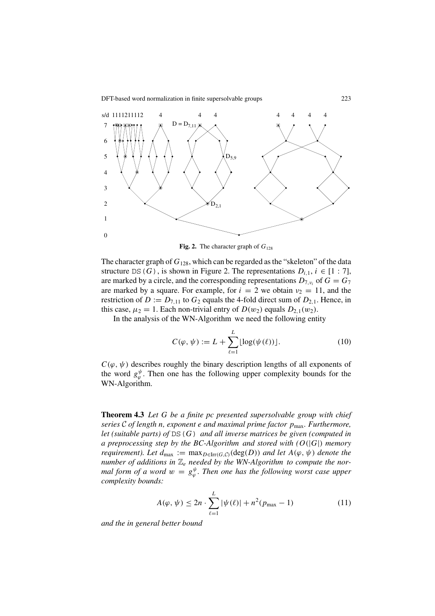

**Fig. 2.** The character graph of  $G_{128}$ 

The character graph of  $G_{128}$ , which can be regarded as the "skeleton" of the data structure DS(G), is shown in Figure 2. The representations  $D_{i,1}$ ,  $i \in [1:7]$ , are marked by a circle, and the corresponding representations  $D_{7,v_i}$  of  $G = G_7$ are marked by a square. For example, for  $i = 2$  we obtain  $v_2 = 11$ , and the restriction of  $D := D_{7,11}$  to  $G_2$  equals the 4-fold direct sum of  $D_{2,1}$ . Hence, in this case,  $\mu_2 = 1$ . Each non-trivial entry of  $D(w_2)$  equals  $D_{2,1}(w_2)$ .

In the analysis of the WN-Algorithm we need the following entity

$$
C(\varphi, \psi) := L + \sum_{\ell=1}^{L} \lfloor \log(\psi(\ell)) \rfloor.
$$
 (10)

 $C(\varphi, \psi)$  describes roughly the binary description lengths of all exponents of the word  $g_{\varphi}^{\psi}$ . Then one has the following upper complexity bounds for the WN-Algorithm.

**Theorem 4.3** *Let* G *be a finite pc presented supersolvable group with chief series* C *of length* n*, exponent* e *and maximal prime factor* pmax*. Furthermore, let (suitable parts) of* DS(G) *and all inverse matrices be given (computed in a preprocessing step by the BC-Algorithm and stored with (*O(|G|) *memory requirement). Let*  $d_{\text{max}} := \max_{D \in \text{Irr}(G,C)} (\text{deg}(D))$  *and let*  $A(\varphi, \psi)$  *denote the number of additions in*  $\mathbb{Z}_e$  *needed by the WN-Algorithm to compute the normal form of a word*  $w = g_{\varphi}^{\psi}$ . Then one has the following worst case upper *complexity bounds:*

$$
A(\varphi, \psi) \le 2n \cdot \sum_{\ell=1}^{L} |\psi(\ell)| + n^2 (p_{\max} - 1)
$$
 (11)

*and the in general better bound*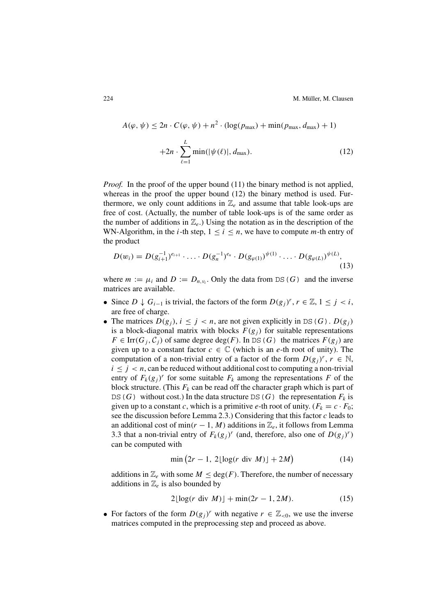$$
A(\varphi, \psi) \le 2n \cdot C(\varphi, \psi) + n^2 \cdot (\log(p_{\max}) + \min(p_{\max}, d_{\max}) + 1)
$$

$$
+ 2n \cdot \sum_{\ell=1}^{L} \min(|\psi(\ell)|, d_{\max}). \tag{12}
$$

*Proof.* In the proof of the upper bound (11) the binary method is not applied, whereas in the proof the upper bound (12) the binary method is used. Furthermore, we only count additions in  $\mathbb{Z}_e$  and assume that table look-ups are free of cost. (Actually, the number of table look-ups is of the same order as the number of additions in  $\mathbb{Z}_e$ .) Using the notation as in the description of the WN-Algorithm, in the *i*-th step,  $1 \le i \le n$ , we have to compute *m*-th entry of the product

$$
D(w_i) = D(g_{i+1}^{-1})^{e_{i+1}} \cdot \ldots \cdot D(g_n^{-1})^{e_n} \cdot D(g_{\varphi(1)})^{\psi(1)} \cdot \ldots \cdot D(g_{\varphi(L)})^{\psi(L)},
$$
\n(13)

where  $m := \mu_i$  and  $D := D_{n,\nu_i}$ . Only the data from DS(G) and the inverse matrices are available.

- Since  $D \downarrow G_{i-1}$  is trivial, the factors of the form  $D(g_i)^r$ ,  $r \in \mathbb{Z}, 1 \leq j < i$ , are free of charge.
- The matrices  $D(g_i)$ ,  $i \leq j < n$ , are not given explicitly in DS(G).  $D(g_i)$ is a block-diagonal matrix with blocks  $F(g_i)$  for suitable representations  $F \in \text{Irr}(G_i, \mathcal{C}_i)$  of same degree deg(F). In DS(G) the matrices  $F(g_i)$  are given up to a constant factor  $c \in \mathbb{C}$  (which is an e-th root of unity). The computation of a non-trivial entry of a factor of the form  $D(g_i)^r$ ,  $r \in \mathbb{N}$ ,  $i \leq j < n$ , can be reduced without additional cost to computing a non-trivial entry of  $F_k(g_i)^r$  for some suitable  $F_k$  among the representations F of the block structure. (This  $F_k$  can be read off the character graph which is part of DS(G) without cost.) In the data structure DS(G) the representation  $F_k$  is given up to a constant c, which is a primitive e-th root of unity.  $(F_k = c \cdot F_0;$ see the discussion before Lemma 2.3.) Considering that this factor c leads to an additional cost of min( $r - 1$ , M) additions in  $\mathbb{Z}_e$ , it follows from Lemma 3.3 that a non-trivial entry of  $F_k(g_i)^r$  (and, therefore, also one of  $D(g_i)^r$ ) can be computed with

$$
\min\left(2r-1,\ 2\lfloor\log(r\ \mathrm{div}\ M)\rfloor+2M\right) \tag{14}
$$

additions in  $\mathbb{Z}_e$  with some  $M \leq \text{deg}(F)$ . Therefore, the number of necessary additions in  $\mathbb{Z}_e$  is also bounded by

$$
2\lfloor \log(r \text{ div } M) \rfloor + \min(2r - 1, 2M). \tag{15}
$$

• For factors of the form  $D(g_i)^r$  with negative  $r \in \mathbb{Z}_{\leq 0}$ , we use the inverse matrices computed in the preprocessing step and proceed as above.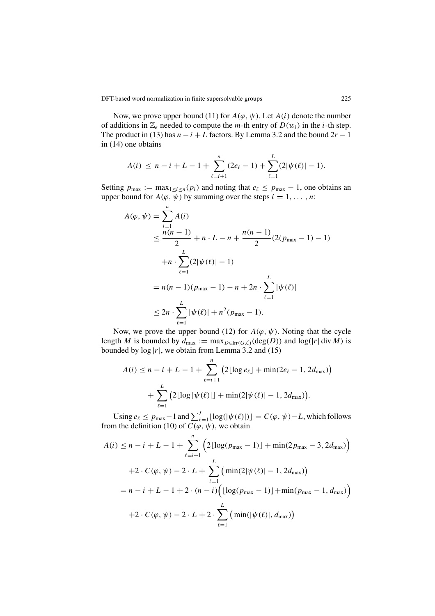Now, we prove upper bound (11) for  $A(\varphi, \psi)$ . Let  $A(i)$  denote the number of additions in  $\mathbb{Z}_e$  needed to compute the *m*-th entry of  $D(w_i)$  in the *i*-th step. The product in (13) has  $n - i + L$  factors. By Lemma 3.2 and the bound  $2r - 1$ in (14) one obtains

$$
A(i) \leq n - i + L - 1 + \sum_{\ell=i+1}^{n} (2e_{\ell} - 1) + \sum_{\ell=1}^{L} (2|\psi(\ell)| - 1).
$$

Setting  $p_{\text{max}} := \max_{1 \le i \le n} (p_i)$  and noting that  $e_\ell \le p_{\text{max}} - 1$ , one obtains an upper bound for  $A(\varphi, \overline{\psi})$  by summing over the steps  $i = 1, \ldots, n$ :

$$
A(\varphi, \psi) = \sum_{i=1}^{n} A(i)
$$
  
\n
$$
\leq \frac{n(n-1)}{2} + n \cdot L - n + \frac{n(n-1)}{2} (2(p_{\max} - 1) - 1)
$$
  
\n
$$
+ n \cdot \sum_{\ell=1}^{L} (2|\psi(\ell)| - 1)
$$
  
\n
$$
= n(n-1)(p_{\max} - 1) - n + 2n \cdot \sum_{\ell=1}^{L} |\psi(\ell)|
$$
  
\n
$$
\leq 2n \cdot \sum_{\ell=1}^{L} |\psi(\ell)| + n^2 (p_{\max} - 1).
$$

Now, we prove the upper bound (12) for  $A(\varphi, \psi)$ . Noting that the cycle length M is bounded by  $d_{\text{max}} := \max_{D \in \text{Irr}(G,\mathcal{C})} (\text{deg}(D))$  and  $\log(|r| \text{ div } M)$  is bounded by  $log |r|$ , we obtain from Lemma 3.2 and (15)

$$
A(i) \le n - i + L - 1 + \sum_{\ell=i+1}^{n} (2\lfloor \log e_{\ell} \rfloor + \min(2e_{\ell} - 1, 2d_{\max})) + \sum_{\ell=1}^{L} (2\lfloor \log |\psi(\ell)| \rfloor + \min(2|\psi(\ell)| - 1, 2d_{\max})).
$$

Using  $e_\ell \leq p_{\text{max}} - 1$  and  $\sum_{\ell=1}^L \lfloor \log(|\psi(\ell)|) \rfloor = C(\varphi, \psi) - L$ , which follows from the definition (10) of  $C(\varphi, \psi)$ , we obtain

$$
A(i) \le n - i + L - 1 + \sum_{\ell=i+1}^{n} \left( 2\lfloor \log(p_{\max} - 1) \rfloor + \min(2p_{\max} - 3, 2d_{\max}) \right)
$$
  
+2 \cdot C(\varphi, \psi) - 2 \cdot L + \sum\_{\ell=1}^{L} \left( \min(2|\psi(\ell)| - 1, 2d\_{\max}) \right)  
= n - i + L - 1 + 2 \cdot (n - i) \left( \lfloor \log(p\_{\max} - 1) \rfloor + \min(p\_{\max} - 1, d\_{\max}) \right)  
+2 \cdot C(\varphi, \psi) - 2 \cdot L + 2 \cdot \sum\_{\ell=1}^{L} \left( \min(|\psi(\ell)|, d\_{\max}) \right)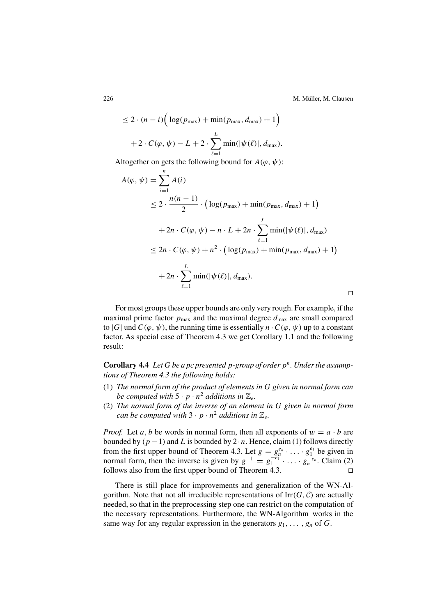$\Box$ 

$$
\leq 2 \cdot (n - i) \Big( \log(p_{\max}) + \min(p_{\max}, d_{\max}) + 1 \Big)
$$

$$
+ 2 \cdot C(\varphi, \psi) - L + 2 \cdot \sum_{\ell=1}^{L} \min(|\psi(\ell)|, d_{\max}).
$$

Altogether on gets the following bound for  $A(\varphi, \psi)$ :

$$
A(\varphi, \psi) = \sum_{i=1}^{n} A(i)
$$
  
\n
$$
\leq 2 \cdot \frac{n(n-1)}{2} \cdot \left( \log(p_{\max}) + \min(p_{\max}, d_{\max}) + 1 \right)
$$
  
\n
$$
+ 2n \cdot C(\varphi, \psi) - n \cdot L + 2n \cdot \sum_{\ell=1}^{L} \min(|\psi(\ell)|, d_{\max})
$$
  
\n
$$
\leq 2n \cdot C(\varphi, \psi) + n^2 \cdot \left( \log(p_{\max}) + \min(p_{\max}, d_{\max}) + 1 \right)
$$
  
\n
$$
+ 2n \cdot \sum_{\ell=1}^{L} \min(|\psi(\ell)|, d_{\max}).
$$

For most groups these upper bounds are only very rough. For example, if the maximal prime factor  $p_{\text{max}}$  and the maximal degree  $d_{\text{max}}$  are small compared to |G| und  $C(\varphi, \psi)$ , the running time is essentially  $n \cdot C(\varphi, \psi)$  up to a constant factor. As special case of Theorem 4.3 we get Corollary 1.1 and the following result:

**Corollary 4.4** Let G be a pc presented p-group of order  $p<sup>n</sup>$ . Under the assump*tions of Theorem 4.3 the following holds:*

- (1) *The normal form of the product of elements in* G *given in normal form can be computed with*  $5 \cdot p \cdot n^2$  *additions in*  $\mathbb{Z}_e$ *.*
- (2) *The normal form of the inverse of an element in* G *given in normal form can be computed with*  $3 \cdot p \cdot n^2$  *additions in*  $\mathbb{Z}_e$ *.*

*Proof.* Let a, b be words in normal form, then all exponents of  $w = a \cdot b$  are bounded by  $(p-1)$  and L is bounded by  $2 \cdot n$ . Hence, claim (1) follows directly from the first upper bound of Theorem 4.3. Let  $g = g_n^{e_n} \cdot \ldots \cdot g_1^{e_1}$  be given in normal form, then the inverse is given by  $g^{-1} = g_1^{-e_1} \cdot \ldots \cdot g_n^{-e_n}$ . Claim (2) follows also from the first upper bound of Theorem 4.3.

There is still place for improvements and generalization of the WN-Algorithm. Note that not all irreducible representations of  $\text{Irr}(G, \mathcal{C})$  are actually needed, so that in the preprocessing step one can restrict on the computation of the necessary representations. Furthermore, the WN-Algorithm works in the same way for any regular expression in the generators  $g_1, \ldots, g_n$  of G.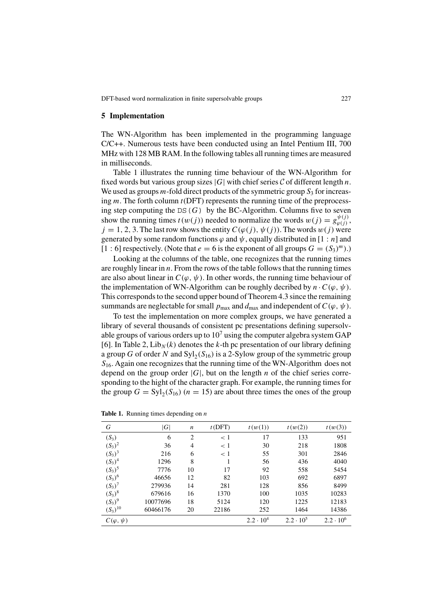#### **5 Implementation**

The WN-Algorithm has been implemented in the programming language C/C++. Numerous tests have been conducted using an Intel Pentium III, 700 MHz with 128 MB RAM. In the following tables all running times are measured in milliseconds.

Table 1 illustrates the running time behaviour of the WN-Algorithm for fixed words but various group sizes |G| with chief series  $\mathcal C$  of different length n. We used as groups  $m$ -fold direct products of the symmetric group  $S_3$  for increasing  $m$ . The forth column  $t(DFT)$  represents the running time of the preprocessing step computing the DS( $G$ ) by the BC-Algorithm. Columns five to seven show the running times  $t(w(j))$  needed to normalize the words  $w(j) = g_{\varphi(j)}^{\psi(j)}$ ,  $j = 1, 2, 3$ . The last row shows the entity  $C(\varphi(j), \psi(j))$ . The words  $w(j)$  were generated by some random functions  $\varphi$  and  $\psi$ , equally distributed in [1 : n] and [1 : 6] respectively. (Note that  $e = 6$  is the exponent of all groups  $G = (S_3)^m$ ).)

Looking at the columns of the table, one recognizes that the running times are roughly linear in  $n$ . From the rows of the table follows that the running times are also about linear in  $C(\varphi, \psi)$ . In other words, the running time behaviour of the implementation of WN-Algorithm can be roughly decribed by  $n \cdot C(\varphi, \psi)$ . This corresponds to the second upper bound of Theorem 4.3 since the remaining summands are neglectable for small  $p_{\text{max}}$  and  $d_{\text{max}}$  and independent of  $C(\varphi, \psi)$ .

To test the implementation on more complex groups, we have generated a library of several thousands of consistent pc presentations defining supersolvable groups of various orders up to  $10<sup>7</sup>$  using the computer algebra system GAP [6]. In Table 2,  $\text{Lib}_N(k)$  denotes the k-th pc presentation of our library defining a group G of order N and  $Syl_2(S_{16})$  is a 2-Sylow group of the symmetric group  $S<sub>16</sub>$ . Again one recognizes that the running time of the WN-Algorithm does not depend on the group order  $|G|$ , but on the length n of the chief series corresponding to the hight of the character graph. For example, the running times for the group  $G = \mathrm{Syl}_2(S_{16})$  ( $n = 15$ ) are about three times the ones of the group

| G                  | G        | $\boldsymbol{n}$ | t(DFT) | t(w(1))            | t(w(2))          | t(w(3))          |
|--------------------|----------|------------------|--------|--------------------|------------------|------------------|
| $(S_3)$            | 6        | $\mathfrak{D}$   | < 1    | 17                 | 133              | 951              |
| $(S_3)^2$          | 36       | 4                | < 1    | 30                 | 218              | 1808             |
| $(S_3)^3$          | 216      | 6                | < 1    | 55                 | 301              | 2846             |
| $(S_3)^4$          | 1296     | 8                | 1      | 56                 | 436              | 4040             |
| $(S_3)^5$          | 7776     | 10               | 17     | 92                 | 558              | 5454             |
| $(S_3)^6$          | 46656    | 12               | 82     | 103                | 692              | 6897             |
| $(S_3)^7$          | 279936   | 14               | 281    | 128                | 856              | 8499             |
| $(S_3)^8$          | 679616   | 16               | 1370   | 100                | 1035             | 10283            |
| $(S_3)^9$          | 10077696 | 18               | 5124   | 120                | 1225             | 12183            |
| $(S_3)^{10}$       | 60466176 | 20               | 22186  | 252                | 1464             | 14386            |
| $C(\varphi, \psi)$ |          |                  |        | $2.2 \cdot 10^{4}$ | $2.2 \cdot 10^5$ | $2.2 \cdot 10^6$ |

**Table 1.** Running times depending on *n*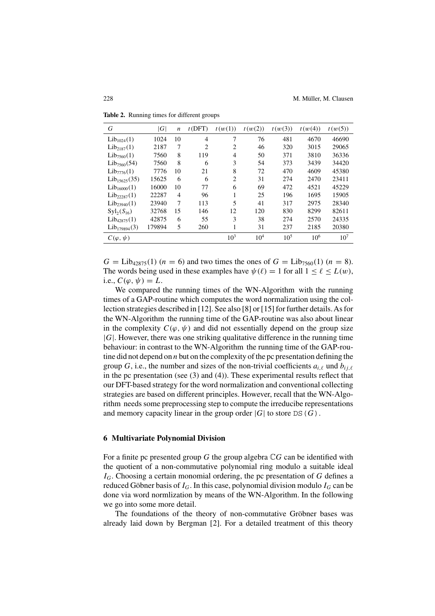| G                         | G      | $\boldsymbol{n}$ | t(DFT)         | t(w(1))        | t(w(2))         | t(w(3))         | t(w(4))         | t(w(5))         |
|---------------------------|--------|------------------|----------------|----------------|-----------------|-----------------|-----------------|-----------------|
| Lib <sub>1024</sub> (1)   | 1024   | 10               | $\overline{4}$ | 7              | 76              | 481             | 4670            | 46690           |
| Lib <sub>2187</sub> (1)   | 2187   | 7                | $\overline{c}$ | 2              | 46              | 320             | 3015            | 29065           |
| $Lib_{7560}(1)$           | 7560   | 8                | 119            | 4              | 50              | 371             | 3810            | 36336           |
| $Lib_{7560}(54)$          | 7560   | 8                | 6              | 3              | 54              | 373             | 3439            | 34420           |
| $Lib_{7776}(1)$           | 7776   | 10               | 21             | 8              | 72              | 470             | 4609            | 45380           |
| Lib <sub>15625</sub> (35) | 15625  | 6                | 6              | $\overline{c}$ | 31              | 274             | 2470            | 23411           |
| Lib <sub>16000</sub> (1)  | 16000  | 10               | 77             | 6              | 69              | 472             | 4521            | 45229           |
| $Lib_{22287}(1)$          | 22287  | $\overline{4}$   | 96             |                | 25              | 196             | 1695            | 15905           |
| Lib <sub>23940</sub> (1)  | 23940  | 7                | 113            | 5              | 41              | 317             | 2975            | 28340           |
| $Syl_2(S_{16})$           | 32768  | 15               | 146            | 12             | 120             | 830             | 8299            | 82611           |
| $Lib_{42875}(1)$          | 42875  | 6                | 55             | 3              | 38              | 274             | 2570            | 24335           |
| $Lib_{179894}(3)$         | 179894 | 5                | 260            | 1              | 31              | 237             | 2185            | 20380           |
| $C(\varphi, \psi)$        |        |                  |                | $10^3$         | 10 <sup>4</sup> | 10 <sup>5</sup> | 10 <sup>6</sup> | 10 <sup>7</sup> |

**Table 2.** Running times for different groups

 $G = \text{Lib}_{42875}(1)$  ( $n = 6$ ) and two times the ones of  $G = \text{Lib}_{7560}(1)$  ( $n = 8$ ). The words being used in these examples have  $\psi(\ell) = 1$  for all  $1 \leq \ell \leq L(w)$ , i.e.,  $C(\varphi, \psi) = L$ .

We compared the running times of the WN-Algorithm with the running times of a GAP-routine which computes the word normalization using the collection strategies described in [12]. See also [8] or [15] for further details.As for the WN-Algorithm the running time of the GAP-routine was also about linear in the complexity  $C(\varphi, \psi)$  and did not essentially depend on the group size  $|G|$ . However, there was one striking qualitative difference in the running time behaviour: in contrast to the WN-Algorithm the running time of the GAP-routine did not depend on  $n$  but on the complexity of the pc presentation defining the group G, i.e., the number and sizes of the non-trivial coefficients  $a_{i\ell}$  und  $b_{i\ell}$ in the pc presentation (see (3) and (4)). These experimental results reflect that our DFT-based strategy for the word normalization and conventional collecting strategies are based on different principles. However, recall that the WN-Algorithm needs some preprocessing step to compute the irreducibe representations and memory capacity linear in the group order  $|G|$  to store DS(G).

#### **6 Multivariate Polynomial Division**

For a finite pc presented group G the group algebra  $\mathbb{C}G$  can be identified with the quotient of a non-commutative polynomial ring modulo a suitable ideal  $I_G$ . Choosing a certain monomial ordering, the pc presentation of G defines a reduced Göbner basis of  $I_G$ . In this case, polynomial division modulo  $I_G$  can be done via word normlization by means of the WN-Algorithm. In the following we go into some more detail.

The foundations of the theory of non-commutative Gröbner bases was already laid down by Bergman [2]. For a detailed treatment of this theory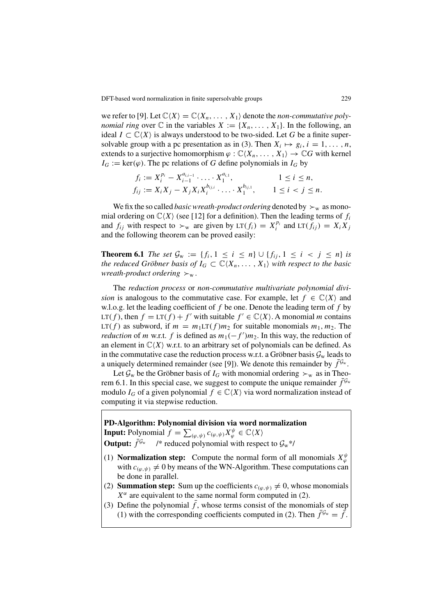we refer to [9]. Let  $\mathbb{C}\langle X \rangle = \mathbb{C}\langle X_n, \ldots, X_1 \rangle$  denote the *non-commutative polynomial ring* over  $\mathbb C$  in the variables  $X := \{X_n, \ldots, X_1\}$ . In the following, an ideal  $I \subset \mathbb{C}\langle X \rangle$  is always understood to be two-sided. Let G be a finite supersolvable group with a pc presentation as in (3). Then  $X_i \mapsto g_i$ ,  $i = 1, \ldots, n$ , extends to a surjective homomorphism  $\varphi : \mathbb{C}\langle X_n, \ldots, X_1 \rangle \to \mathbb{C}G$  with kernel  $I_G := \text{ker}(\varphi)$ . The pc relations of G define polynomials in  $I_G$  by

$$
f_i := X_i^{p_i} - X_{i-1}^{a_{i,i-1}} \cdot \ldots \cdot X_1^{a_{i,1}}, \qquad 1 \le i \le n,
$$
  
\n
$$
f_{ij} := X_i X_j - X_j X_i X_i^{b_{ij,i}} \cdot \ldots \cdot X_1^{b_{ij,1}}, \qquad 1 \le i < j \le n.
$$

We fix the so called *basic wreath-product ordering* denoted by  $\succ_w$  as monomial ordering on  $\mathbb{C}\langle X \rangle$  (see [12] for a definition). Then the leading terms of  $f_i$ and  $f_{ij}$  with respect to  $\succ_w$  are given by LT $(f_i) = X_i^{p_i}$  and LT $(f_{ij}) = X_i X_j$ and the following theorem can be proved easily:

**Theorem 6.1** *The set*  $G_w := \{f_i, 1 \le i \le n\} \cup \{f_{ij}, 1 \le i \le j \le n\}$  *is the reduced Gröbner basis of*  $I_G \subset \mathbb{C}\langle X_n, \ldots, X_1 \rangle$  *with respect to the basic wreath-product ordering*  $\succ_w$ .

The *reduction process* or *non-commutative multivariate polynomial division* is analogous to the commutative case. For example, let  $f \in \mathbb{C}\langle X \rangle$  and w.l.o.g. let the leading coefficient of  $f$  be one. Denote the leading term of  $f$  by LT(f), then  $f = LT(f) + f'$  with suitable  $f' \in \mathbb{C}\langle X \rangle$ . A monomial m contains LT(f) as subword, if  $m = m_1LT(f)m_2$  for suitable monomials  $m_1, m_2$ . The *reduction* of *m* w.r.t. *f* is defined as  $m_1(-f')m_2$ . In this way, the reduction of an element in  $\mathbb{C}\langle X \rangle$  w.r.t. to an arbitrary set of polynomials can be defined. As in the commutative case the reduction process w.r.t. a Gröbner basis  $\mathcal{G}_{w}$  leads to a uniquely determined remainder (see [9]). We denote this remainder by  $\bar{f}^{\mathcal{G}_w}$ .

Let  $\mathcal{G}_w$  be the Gröbner basis of  $I_G$  with monomial ordering  $\succ_w$  as in Theorem 6.1. In this special case, we suggest to compute the unique remainder  $f^{\mathcal{G}_w}$ modulo  $I_G$  of a given polynomial  $f \in \mathbb{C}\langle X \rangle$  via word normalization instead of computing it via stepwise reduction.

**PD-Algorithm: Polynomial division via word normalization Input:** Polynomial  $f = \sum_{(\varphi,\psi)} c_{(\varphi,\psi)} X_{\varphi}^{\psi} \in \mathbb{C} \langle X \rangle$ **Output:**  $\bar{f}^{\mathcal{G}_w}$  /\* reduced polynomial with respect to  $\mathcal{G}_w$ \*/

- (1) **Normalization step:** Compute the normal form of all monomials  $X^{\psi}_{\varphi}$ with  $c_{(\varphi,\psi)} \neq 0$  by means of the WN-Algorithm. These computations can be done in parallel.
- (2) **Summation step:** Sum up the coefficients  $c_{(\varphi,\psi)} \neq 0$ , whose monomials  $X^{\alpha}$  are equivalent to the same normal form computed in (2).
- (3) Define the polynomial  $\bar{f}$ , whose terms consist of the monomials of step (1) with the corresponding coefficients computed in (2). Then  $\bar{f}^{\mathcal{G}_w} = \bar{f}$ .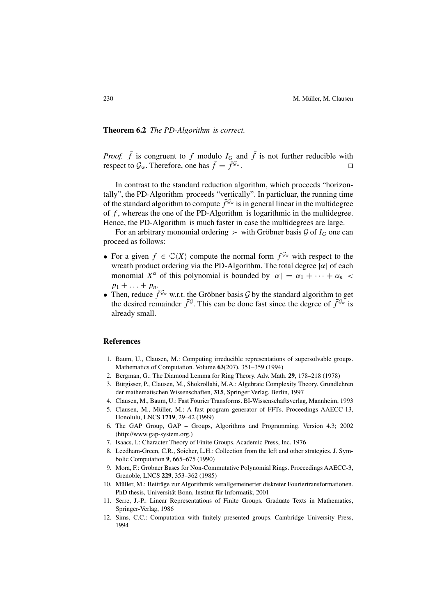#### **Theorem 6.2** *The PD-Algorithm is correct.*

*Proof.*  $\bar{f}$  is congruent to f modulo  $I_G$  and  $\bar{f}$  is not further reducible with respect to  $\mathcal{G}_{w}$ . Therefore, one has  $\bar{f} = \bar{f}^{\mathcal{G}_{w}}$ .

In contrast to the standard reduction algorithm, which proceeds "horizontally", the PD-Algorithm proceeds "vertically". In particluar, the running time of the standard algorithm to compute  $\bar{f}^{\mathcal{G}_w}$  is in general linear in the multidegree of  $f$ , whereas the one of the PD-Algorithm is logarithmic in the multidegree. Hence, the PD-Algorithm is much faster in case the multidegrees are large.

For an arbitrary monomial ordering  $\geq$  with Gröbner basis G of  $I_G$  one can proceed as follows:

- For a given  $f \in \mathbb{C}\langle X \rangle$  compute the normal form  $\bar{f}^{\mathcal{G}_w}$  with respect to the wreath product ordering via the PD-Algorithm. The total degree  $|\alpha|$  of each monomial  $X^{\alpha}$  of this polynomial is bounded by  $|\alpha| = \alpha_1 + \cdots + \alpha_n$  $p_1 + \ldots + p_n$ .
- Then, reduce  $\bar{f}^{\mathcal{G}_w}$  w.r.t. the Gröbner basis  $\mathcal{G}$  by the standard algorithm to get the desired remainder  $\bar{f}^{\mathcal{G}}$ . This can be done fast since the degree of  $\bar{f}^{\mathcal{G}_w}$  is already small.

#### **References**

- 1. Baum, U., Clausen, M.: Computing irreducible representations of supersolvable groups. Mathematics of Computation. Volume **63**(207), 351–359 (1994)
- 2. Bergman, G.: The Diamond Lemma for Ring Theory. Adv. Math. **29**, 178–218 (1978)
- 3. Bürgisser, P., Clausen, M., Shokrollahi, M.A.: Algebraic Complexity Theory. Grundlehren der mathematischen Wissenschaften, **315**, Springer Verlag, Berlin, 1997
- 4. Clausen, M., Baum, U.: Fast Fourier Transforms. BI-Wissenschaftsverlag, Mannheim, 1993
- 5. Clausen, M., Müller, M.: A fast program generator of FFTs. Proceedings AAECC-13, Honolulu, LNCS **1719**, 29–42 (1999)
- 6. The GAP Group, GAP Groups, Algorithms and Programming. Version 4.3; 2002 (http://www.gap-system.org.)
- 7. Isaacs, I.: Character Theory of Finite Groups. Academic Press, Inc. 1976
- 8. Leedham-Green, C.R., Soicher, L.H.: Collection from the left and other strategies. J. Symbolic Computation **9**, 665–675 (1990)
- 9. Mora, F.: Gröbner Bases for Non-Commutative Polynomial Rings. Proceedings AAECC-3, Grenoble, LNCS **229**, 353–362 (1985)
- 10. Müller, M.: Beiträge zur Algorithmik verallgemeinerter diskreter Fouriertransformationen. PhD thesis, Universität Bonn, Institut für Informatik, 2001
- 11. Serre, J.-P.: Linear Representations of Finite Groups. Graduate Texts in Mathematics, Springer-Verlag, 1986
- 12. Sims, C.C.: Computation with finitely presented groups. Cambridge University Press, 1994